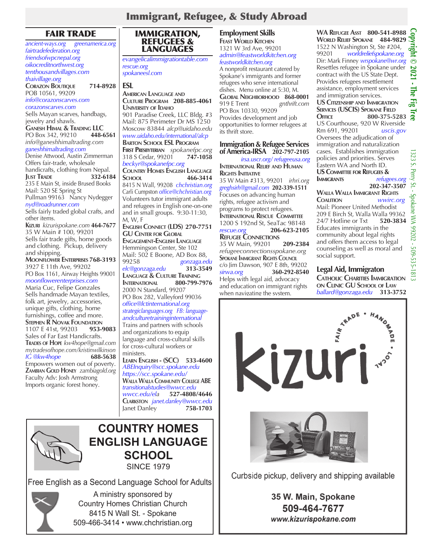# FAIR TRADE

*ancient-ways.org greenamerica.org fairtradefederation.org friendsofwpcnepal.org oikocreditnorthwest.org tenthousandvillages.com thaivillage.org* **Corazon Boutique 714-8928** POB 10561, 99209 *info@corazonscarves.com corazonscarves.com* Sells Mayan scarves, handbags, jewelry and shawls. **G**ANESH **H**IMAL & TRADING LLC<br>PO Box 342, 99210 **448-6561** PO Box 342, 99210 **448-6561** *info@ganeshhimaltrading.com ganeshhimaltrading.com* Denise Attwood, Austin Zimmerman Offers fair-trade, wholesale handicrafts, clothing from Nepal. **Just Trade 332-6184** 235 E Main St, inside Brused Books Mail: 520 SE Spring St Pullman 99163 Nancy Nydegger *nyd@roadrunner.com* Sells fairly traded global crafts, and other items. **Kizuri** *kizurispokane.com* **464-7677** 35 W Main # 100, 99201 Sells fair trade gifts, home goods and clothing. Pickup, delivery and shipping. **Moonflower Enterprises 768-3193** 3927 E 11th Ave, 99202 PO Box 1161, Airway Heights 99001 *moonflowerenterprises.com* Maria Cuc, Felipe Gonzales Sells handmade Mayan textiles, folk art, jewelry, accessories, unique gifts, clothing, home furnishings, coffee and more. **STEPHEN R NOVAK FOUNDATION**<br>1107 E 41st, 99203 **953-9083** 1107 E 41st, 99203 **953-9083**  Sales of Far East Handicrafts. **Trades of Hope** *kw4hope@gmail.com mytradesofhope.com/kristinwilkinson IG* @kw4hope Empowers women out of poverty. **Zambian Gold Honey** *zambiagold.org* Faculty Adv: Josh Armstrong Imports organic forest honey.



*evangelicalimmigrationtable.com rescue.org spokaneesl.com*

## **ESL**

**American Language and Culture Program 208-885-4061 University of Idaho** 901 Paradise Creek, LLC Bldg. #3 Mail: 875 Perimeter Dr MS 1250 Moscow 83844 *alcp@uidaho.edu www.uidaho.edu/international/alcp* **Barton School ESL Program First Presbyterian** *spokanefpc.org* 318 S Cedar, 99201 **747-1058** *beckyr@spokanefpc.org*  **Country Homes English Language School 466-3414** 8415 N Wall, 99208 *chchristian.org* Carli Cumpston *office@chchristian.org* Volunteers tutor immigrant adults and refugees in English one-on-one and in small groups. 9:30-11:30, M, W, F **English Connect (LDS) 270-7751 GU Center for Global**

**Engagement-English Language** Hemmingson Center, Ste 102 Mail: 502 E Boone, AD Box 88,<br>99258 gonzaga.ec 99258 *gonzaga.edu elc@gonzaga.edu* **313-3549 Language & Culture Training International 800-799-7976** 2000 N Standard, 99207 PO Box 282, Valleyford 99036 *office@lctinternational.org strategiclanguages.org FB: languageandculturetraininginternational* Trains and partners with schools and organizations to equip language and cross-cultural skills for cross-cultural workers or

ministers. **Learn English - (SCC) 533-4600** *ABEInquiry@scc.spokane.edu https://scc.spokane.edu/* **Walla Walla Community College ABE** *transitionalstudies@wwcc.edu wwcc.edu/ela* **527-4808/4646 Clarkston** *janet.danley@wwcc.edu*  Janet Danley



# **COUNTRY HOMES ENGLISH LANGUAGE SCHOOL**

**SINCE 1979** 

Free English as a Second Language School for Adults



A ministry sponsored by Country Homes Christian Church 8415 N Wall St. - Spokane 509-466-3414 • www.chchristian.org

## **Employment Skills**

**Feast World Kitchen** 1321 W 3rd Ave, 99201 *admin@feastworldkitchen.org feastworldkitchen.org*

A nonprofit restaurant catered by Spokane's immigrants and former refugees who serve international dishes. Menu online at 5:30, M. **GLOBAL NEIGHBORHOOD 868-0001**<br>919 E Trent gnthrift.com  $g$ nthrift.com PO Box 10330, 99209 Provides development and job opportunities to former refugees at its thrift store.

### **Immigration & Refugee Services of America-IRSA 202-797-2105**

*irsa.uscr.org/ refugeeusa.org* **International Relief and Human Rights Initiative** 35 W Main #313, 99201 *irhri.org*

*greghsirh@gmail.com* **202-339-1511** Focuses on advancing human rights, refugee activism and programs to protect refugees. **International Rescue Committee** 1200 S 192nd St, SeaTac 98148<br>
rescue.org 206-623-2105 *rescue.org* **206-623-2105 Refugee Connections** 35 W Main, 99201 **209-2384** *refugeeconnectionsspokane.org* **Spokane Immigrant Rights Council** c/o Jim Dawson, 907 E 8th, 99202 *sirwa.org* **360-292-8540** Helps with legal aid, advocacy and education on immigrant rights when navigating the system.

**WA Refugee Asst 800-541-8988 World Relief Spokane 484-9829** 1522 N Washington St, Ste #204,<br>99201 worldreliefspokane.org 99201 *worldreliefspokane.org* Dir: Mark Finney *wrspokane@wr.org* 1522 N Washington St, Ste #204,<br>99201 *worldreliefspokane.org*<br>Dir: Mark Finney *wrspokane@wr.org* ©<br>Resettles refugee in Spokane under contract with the US State Dept. Provides refugees resettlement assistance, employment services and immigration services. **US Citizenship and Immigration Services (USCIS) Spokane Field SERVICES (USCIS) SPOKANE FIELD<br>
OFFICE** 800-375-5283 US Courthouse, 920 W Riverside Rm 691, 99201 *uscis.gov* Oversees the adjudication of

immigration and naturalization cases. Establishes immigration policies and priorities. Serves Eastern WA and North ID. **US Committee for Refugees &**   $refugees.org$ **202-347-3507**

#### **Walla Walla Immigrant Rights** wwirc.org Mail: Pioneer United Methodist 209 E Birch St, Walla Walla 99362<br>24/7 Hotline or Txt 520-3834 24/7 Hotline or Txt Educates immigrants in the community about legal rights and offers them access to legal counseling as well as moral and social support.

**Legal Aid, Immigraton Catholic Charities Immigration on Clinic GU School of Law**

*ballard@gonzaga.edu* **313-3752** 



Curbside pickup, delivery and shipping available

# 35 W. Main, Spokane 509-464-7677 www.kizurispokane.com

1323 S. Perry St. - Spokane WA 99202 - 509-535-1813

Spokane WA 99202 - 509-535-1813

1323  $\mathcal{S}$ . Perry  $St$